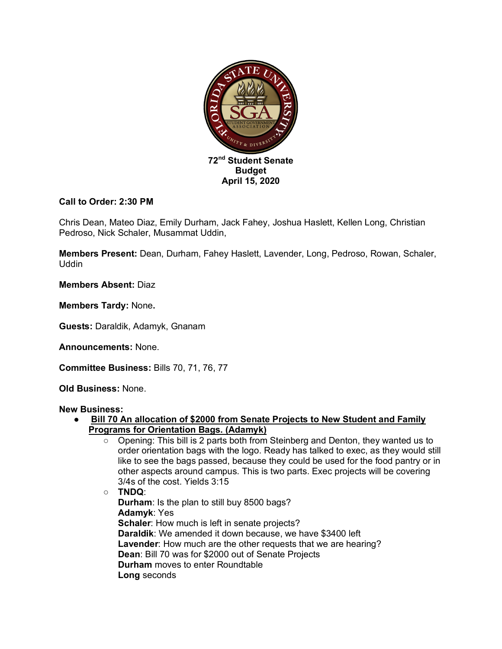

### **Call to Order: 2:30 PM**

Chris Dean, Mateo Diaz, Emily Durham, Jack Fahey, Joshua Haslett, Kellen Long, Christian Pedroso, Nick Schaler, Musammat Uddin,

**Members Present:** Dean, Durham, Fahey Haslett, Lavender, Long, Pedroso, Rowan, Schaler, Uddin

**Members Absent:** Diaz

**Members Tardy:** None**.**

**Guests:** Daraldik, Adamyk, Gnanam

**Announcements:** None.

**Committee Business:** Bills 70, 71, 76, 77

**Old Business:** None.

#### **New Business:**

- **Bill 70 An allocation of \$2000 from Senate Projects to New Student and Family Programs for Orientation Bags. (Adamyk)** 
	- Opening: This bill is 2 parts both from Steinberg and Denton, they wanted us to order orientation bags with the logo. Ready has talked to exec, as they would still like to see the bags passed, because they could be used for the food pantry or in other aspects around campus. This is two parts. Exec projects will be covering 3/4s of the cost. Yields 3:15

○ **TNDQ**: **Durham**: Is the plan to still buy 8500 bags? **Adamyk**: Yes **Schaler**: How much is left in senate projects? **Daraldik**: We amended it down because, we have \$3400 left **Lavender**: How much are the other requests that we are hearing? **Dean**: Bill 70 was for \$2000 out of Senate Projects **Durham** moves to enter Roundtable **Long** seconds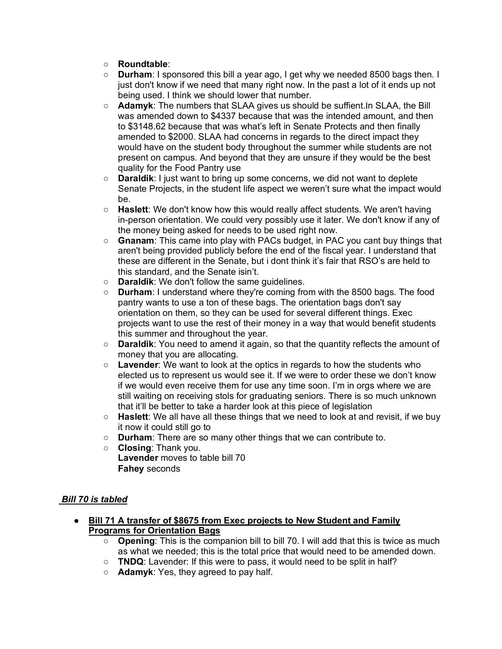- **Roundtable**:
- **Durham**: I sponsored this bill a year ago, I get why we needed 8500 bags then. I just don't know if we need that many right now. In the past a lot of it ends up not being used. I think we should lower that number.
- **Adamyk**: The numbers that SLAA gives us should be suffient.In SLAA, the Bill was amended down to \$4337 because that was the intended amount, and then to \$3148.62 because that was what's left in Senate Protects and then finally amended to \$2000. SLAA had concerns in regards to the direct impact they would have on the student body throughout the summer while students are not present on campus. And beyond that they are unsure if they would be the best quality for the Food Pantry use
- **Daraldik**: I just want to bring up some concerns, we did not want to deplete Senate Projects, in the student life aspect we weren't sure what the impact would be.
- **Haslett**: We don't know how this would really affect students. We aren't having in-person orientation. We could very possibly use it later. We don't know if any of the money being asked for needs to be used right now.
- **Gnanam**: This came into play with PACs budget, in PAC you cant buy things that aren't being provided publicly before the end of the fiscal year. I understand that these are different in the Senate, but i dont think it's fair that RSO's are held to this standard, and the Senate isin't.
- **Daraldik**: We don't follow the same guidelines.
- **Durham**: I understand where they're coming from with the 8500 bags. The food pantry wants to use a ton of these bags. The orientation bags don't say orientation on them, so they can be used for several different things. Exec projects want to use the rest of their money in a way that would benefit students this summer and throughout the year.
- **Daraldik**: You need to amend it again, so that the quantity reflects the amount of money that you are allocating.
- **Lavender**: We want to look at the optics in regards to how the students who elected us to represent us would see it. If we were to order these we don't know if we would even receive them for use any time soon. I'm in orgs where we are still waiting on receiving stols for graduating seniors. There is so much unknown that it'll be better to take a harder look at this piece of legislation
- **Haslett**: We all have all these things that we need to look at and revisit, if we buy it now it could still go to
- **Durham**: There are so many other things that we can contribute to.
- **Closing**: Thank you. **Lavender** moves to table bill 70 **Fahey** seconds

# *Bill 70 is tabled*

- **Bill 71 A transfer of \$8675 from Exec projects to New Student and Family Programs for Orientation Bags**
	- **Opening**: This is the companion bill to bill 70. I will add that this is twice as much as what we needed; this is the total price that would need to be amended down.
	- **TNDQ**: Lavender: If this were to pass, it would need to be split in half?
	- **Adamyk**: Yes, they agreed to pay half.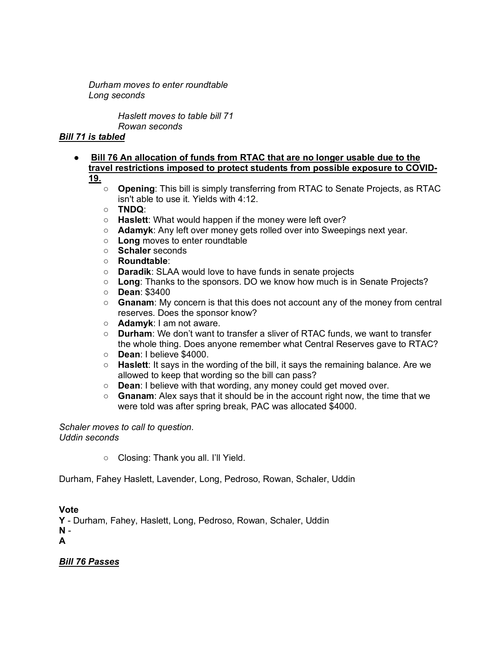*Durham moves to enter roundtable Long seconds* 

> *Haslett moves to table bill 71 Rowan seconds*

# *Bill 71 is tabled*

- **Bill 76 An allocation of funds from RTAC that are no longer usable due to the travel restrictions imposed to protect students from possible exposure to COVID-19.** 
	- **Opening**: This bill is simply transferring from RTAC to Senate Projects, as RTAC isn't able to use it. Yields with 4:12.
	- **TNDQ**:
	- **Haslett**: What would happen if the money were left over?
	- **Adamyk**: Any left over money gets rolled over into Sweepings next year.
	- **Long** moves to enter roundtable
	- **Schaler** seconds
	- **Roundtable**:
	- **Daradik**: SLAA would love to have funds in senate projects
	- **Long**: Thanks to the sponsors. DO we know how much is in Senate Projects?
	- **Dean**: \$3400
	- **Gnanam**: My concern is that this does not account any of the money from central reserves. Does the sponsor know?
	- **Adamyk**: I am not aware.
	- **Durham**: We don't want to transfer a sliver of RTAC funds, we want to transfer the whole thing. Does anyone remember what Central Reserves gave to RTAC?
	- **Dean**: I believe \$4000.
	- **Haslett**: It says in the wording of the bill, it says the remaining balance. Are we allowed to keep that wording so the bill can pass?
	- **Dean**: I believe with that wording, any money could get moved over.
	- **Gnanam**: Alex says that it should be in the account right now, the time that we were told was after spring break, PAC was allocated \$4000.

*Schaler moves to call to question. Uddin seconds*

○ Closing: Thank you all. I'll Yield.

Durham, Fahey Haslett, Lavender, Long, Pedroso, Rowan, Schaler, Uddin

### **Vote**

**Y** - Durham, Fahey, Haslett, Long, Pedroso, Rowan, Schaler, Uddin **N** -

**A**

### *Bill 76 Passes*